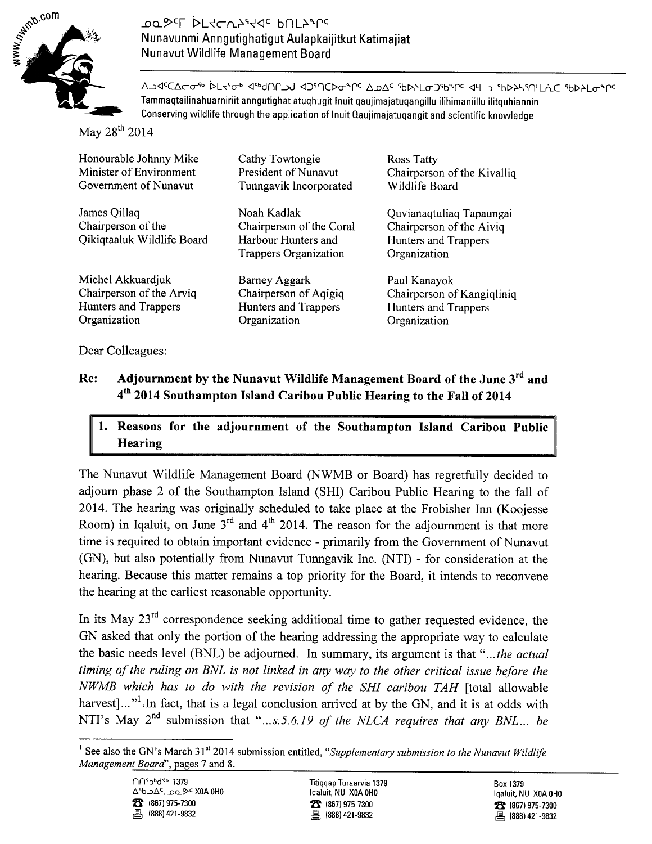

#### ססى<sub>ح</sub>ىل 1544-7474 PUF5 Nunavunmi Anngutighatigut Aulapkaiiitkut Katimaiiat Nunavut Wildlife Management Board

ΛΑΈΔΣΦ<sup>ορ</sup> Αξήση Αρηθησία Αλήριου του και τη συνατική απο τη δηγήρη θηταία εκλεισής Tammaqtailinahuarniriit anngutighat atuqhugit Inuit qaujimajatuqangillu ilihimaniillu ilitquhiannin Conserving wildlife through the application of Inuit Qaujimajatuqangit and scientific knowledge

May 28<sup>th</sup> 2014

| Honourable Johnny Mike                                           | Cathy Towtongie                                                                         | <b>Ross Tatty</b>                                                                            |
|------------------------------------------------------------------|-----------------------------------------------------------------------------------------|----------------------------------------------------------------------------------------------|
| Minister of Environment                                          | President of Nunavut                                                                    | Chairperson of the Kivalliq                                                                  |
| Government of Nunavut                                            | Tunngavik Incorporated                                                                  | Wildlife Board                                                                               |
| James Qillaq<br>Chairperson of the<br>Qikiqtaaluk Wildlife Board | Noah Kadlak<br>Chairperson of the Coral<br>Harbour Hunters and<br>Trappers Organization | Quvianaqtuliaq Tapaungai<br>Chairperson of the Aiviq<br>Hunters and Trappers<br>Organization |
| Michel Akkuardjuk                                                | Barney Aggark                                                                           | Paul Kanayok                                                                                 |
| Chairperson of the Arviq                                         | Chairperson of Aqigiq                                                                   | Chairperson of Kangiqliniq                                                                   |
| Hunters and Trappers                                             | Hunters and Trappers                                                                    | Hunters and Trappers                                                                         |
| Organization                                                     | Organization                                                                            | Organization                                                                                 |

Dear Colleagues:

#### Adjournment by the Nunavut Wildlife Management Board of the June 3rd and Re: 4th 2014 Southampton Island Caribou Public Hearing to the Fall of 2014

#### Reasons for the adjournment of the Southampton Island Caribou Public 1. Hearing

The Nunavut Wildlife Management Board (NWMB or Board) has regretfully decided to adjourn phase 2 of the Southampton Island (SHI) Caribou Public Hearing to the fall of 2014. The hearing was originally scheduled to take place at the Frobisher Inn (Koojesse Room) in Iqaluit, on June  $3^{rd}$  and  $4^{th}$  2014. The reason for the adjournment is that more time is required to obtain important evidence - primarily from the Government of Nunavut (GN), but also potentially from Nunavut Tunngavik Inc. (NTI) - for consideration at the hearing. Because this matter remains a top priority for the Board, it intends to reconvene the hearing at the earliest reasonable opportunity.

In its May 23<sup>rd</sup> correspondence seeking additional time to gather requested evidence, the GN asked that only the portion of the hearing addressing the appropriate way to calculate the basic needs level (BNL) be adjourned. In summary, its argument is that "...the actual timing of the ruling on BNL is not linked in any way to the other critical issue before the NWMB which has to do with the revision of the SHI caribou TAH [total allowable harvest]..."<sup>1</sup>. In fact, that is a legal conclusion arrived at by the GN, and it is at odds with NTI's May 2<sup>nd</sup> submission that "...s.5.6.19 of the NLCA requires that any BNL... be

<sup>&</sup>lt;sup>1</sup> See also the GN's March 31<sup>st</sup> 2014 submission entitled, "Supplementary submission to the Nunavut Wildlife Management Board", pages 7 and 8.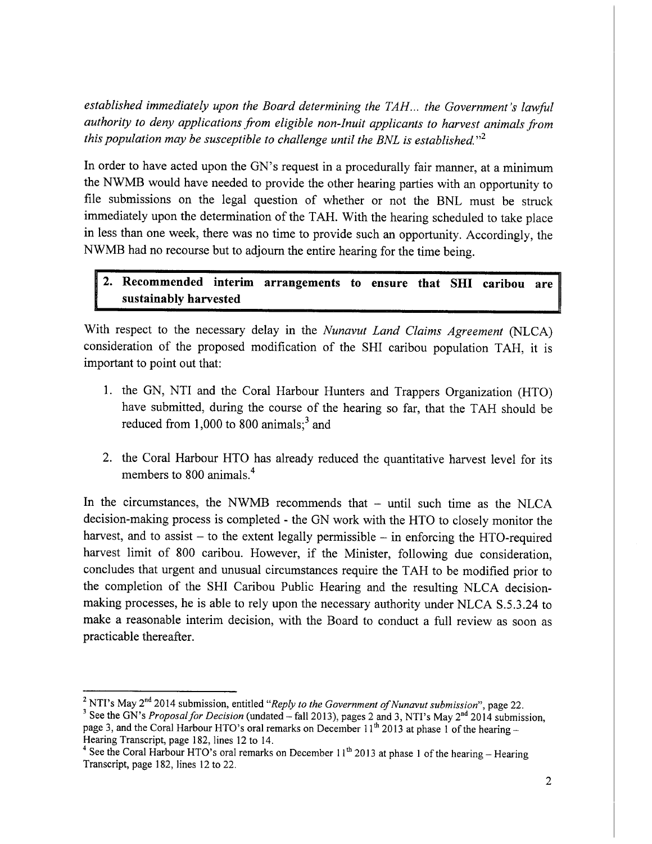established immediately upon the Board determining the TAH... the Government's lawful authority to deny applications from eligible non-Inuit applicants to harvest animals from this population may be susceptible to challenge until the BNL is established."<sup>2</sup>

In order to have acted upon the GN's request in a procedurally fair manner, at a minimum the NWMB would have needed to provide the other hearing parties with an opportunity to file submissions on the legal question of whether or not the BNL must be struck immediately upon the determination of the TAH. With the hearing scheduled to take place in less than one week, there was no time to provide such an opportunity. Accordingly, the NWMB had no recourse but to adjourn the entire hearing for the time being.

### 2. Recommended interim arrangements to ensure that SHI caribou are sustainably harvested

With respect to the necessary delay in the Nunavut Land Claims Agreement (NLCA) consideration of the proposed modification of the SHI caribou population TAH, it is important to point out that:

- 1. the GN, NTI and the Coral Harbour Hunters and Trappers Organization (HTO) have submitted, during the course of the hearing so far, that the TAH should be reduced from 1,000 to 800 animals; $^3$  and
- 2. the Coral Harbour HTO has already reduced the quantitative harvest level for its members to 800 animals.<sup>4</sup>

In the circumstances, the NWMB recommends that - until such time as the NLCA decision-making process is completed - the GN work with the HTO to closely monitor the harvest, and to assist  $-$  to the extent legally permissible  $-$  in enforcing the HTO-required harvest limit of 800 caribou. However, if the Minister, following due consideration, concludes that urgent and unusual circumstances require the TAH to be modified prior to the completion of the SHI Caribou Public Hearing and the resulting NLCA decisionmaking processes, he is able to rely upon the necessary authority under NLCA S.5.3.24 to make a reasonable interim decision, with the Board to conduct a full review as soon as practicable thereafter.

<sup>&</sup>lt;sup>2</sup> NTI's May  $2^{nd}$  2014 submission, entitled "Reply to the Government of Nunavut submission", page 22.

<sup>&</sup>lt;sup>3</sup> See the GN's Proposal for Decision (undated - fall 2013), pages 2 and 3, NTI's May 2<sup>nd</sup> 2014 submission, page 3, and the Coral Harbour HTO's oral remarks on December 11<sup>th</sup> 2013 at phase 1 of the hearing -Hearing Transcript, page 182, lines 12 to 14.

<sup>&</sup>lt;sup>4</sup> See the Coral Harbour HTO's oral remarks on December 11<sup>th</sup> 2013 at phase 1 of the hearing – Hearing Transcript, page 182, lines 12 to 22.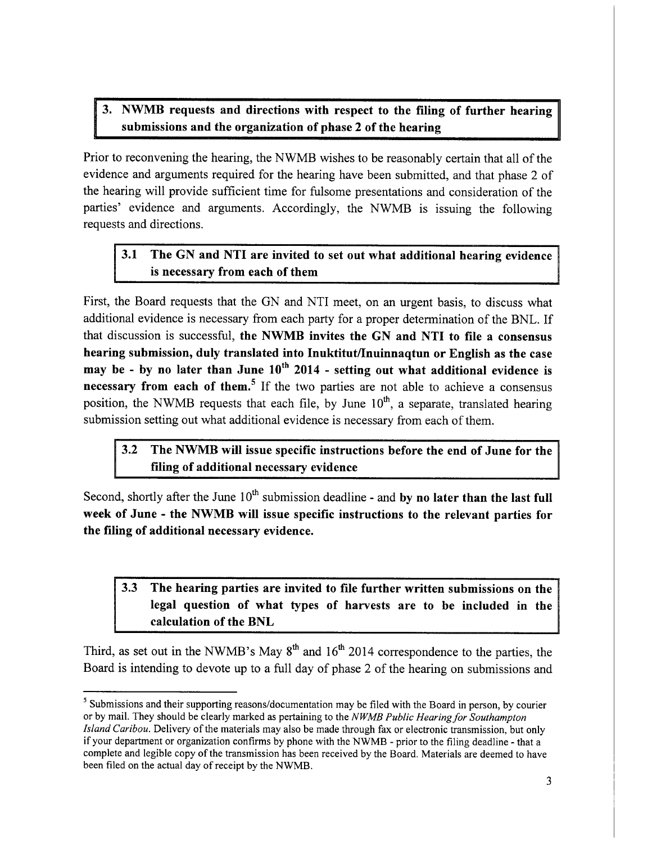### 3. NWMB requests and directions with respect to the filing of further hearing submissions and the organization of phase 2 of the hearing

Prior to reconvening the hearing, the NWMB wishes to be reasonably certain that all of the evidence and arguments required for the hearing have been submitted, and that phase 2 of the hearing will provide sufficient time for fulsome presentations and consideration of the parties' evidence and arguments. Accordingly, the NWMB is issuing the following requests and directions.

#### $3.1$ The GN and NTI are invited to set out what additional hearing evidence is necessary from each of them

First, the Board requests that the GN and NTI meet, on an urgent basis, to discuss what additional evidence is necessary from each party for a proper determination of the BNL. If that discussion is successful, the NWMB invites the GN and NTI to file a consensus hearing submission, duly translated into Inuktitut/Inuinnaqtun or English as the case may be - by no later than June  $10^{th}$  2014 - setting out what additional evidence is necessary from each of them.<sup>5</sup> If the two parties are not able to achieve a consensus position, the NWMB requests that each file, by June  $10^{th}$ , a separate, translated hearing submission setting out what additional evidence is necessary from each of them.

#### $3.2$ The NWMB will issue specific instructions before the end of June for the filing of additional necessary evidence

Second, shortly after the June  $10<sup>th</sup>$  submission deadline - and by no later than the last full week of June - the NWMB will issue specific instructions to the relevant parties for the filing of additional necessary evidence.

### 3.3 The hearing parties are invited to file further written submissions on the legal question of what types of harvests are to be included in the calculation of the BNL

Third, as set out in the NWMB's May  $8<sup>th</sup>$  and  $16<sup>th</sup>$  2014 correspondence to the parties, the Board is intending to devote up to a full day of phase 2 of the hearing on submissions and

<sup>&</sup>lt;sup>5</sup> Submissions and their supporting reasons/documentation may be filed with the Board in person, by courier or by mail. They should be clearly marked as pertaining to the NWMB Public Hearing for Southampton Island Caribou. Delivery of the materials may also be made through fax or electronic transmission, but only if your department or organization confirms by phone with the NWMB - prior to the filing deadline - that a complete and legible copy of the transmission has been received by the Board. Materials are deemed to have been filed on the actual day of receipt by the NWMB.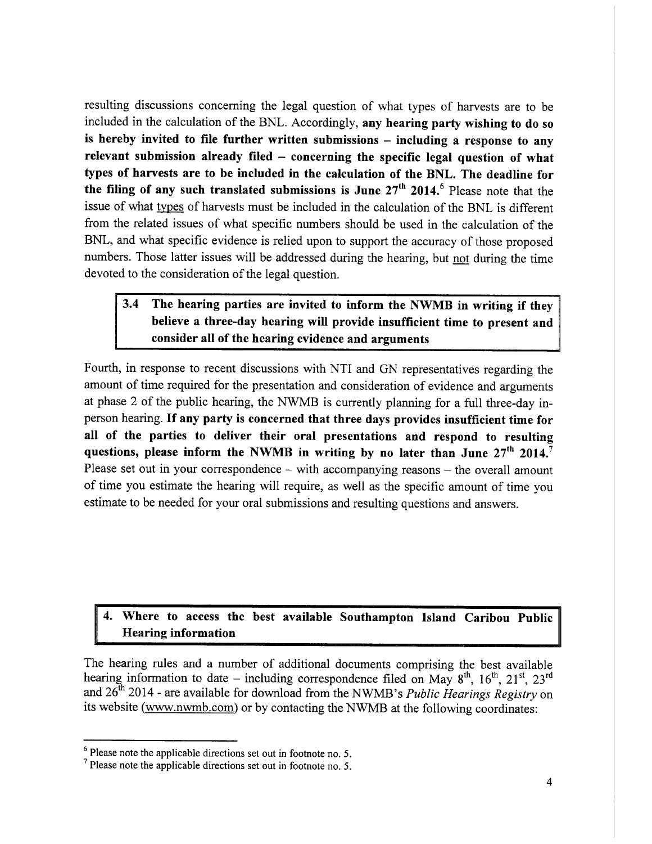resulting discussions concerning the legal question of what types of harvests are to be included in the calculation of the BNL. Accordingly, any hearing party wishing to do so is hereby invited to file further written submissions – including a response to any relevant submission already filed  $-$  concerning the specific legal question of what types of harvests are to be included in the calculation of the BNL. The deadline for the filing of any such translated submissions is June  $27<sup>th</sup>$  2014.<sup>6</sup> Please note that the issue of what types of harvests must be included in the calculation of the BNL is different from the related issues of what specific numbers should be used in the calculation of the BNL, and what specific evidence is relied upon to support the accuracy of those proposed numbers. Those latter issues will be addressed during the hearing, but not during the time devoted to the consideration of the legal question.

#### $3.4$ The hearing parties are invited to inform the NWMB in writing if they believe a three-day hearing will provide insufficient time to present and consider all of the hearing evidence and arguments

Fourth, in response to recent discussions with NTI and GN representatives regarding the amount of time required for the presentation and consideration of evidence and arguments at phase 2 of the public hearing, the NWMB is currently planning for a full three-day inperson hearing. If any party is concerned that three days provides insufficient time for all of the parties to deliver their oral presentations and respond to resulting questions, please inform the NWMB in writing by no later than June  $27<sup>th</sup> 2014$ . Please set out in your correspondence – with accompanying reasons – the overall amount of time you estimate the hearing will require, as well as the specific amount of time you estimate to be needed for your oral submissions and resulting questions and answers.

### Where to access the best available Southampton Island Caribou Public **Hearing information**

The hearing rules and a number of additional documents comprising the best available hearing information to date – including correspondence filed on May  $8^{th}$ ,  $16^{th}$ ,  $21^{st}$ ,  $23^{rd}$ and 26<sup>th</sup> 2014 - are available for download from the NWMB's Public Hearings Registry on its website (www.nwmb.com) or by contacting the NWMB at the following coordinates:

 $6$  Please note the applicable directions set out in footnote no. 5.

 $\frac{7}{1}$  Please note the applicable directions set out in footnote no. 5.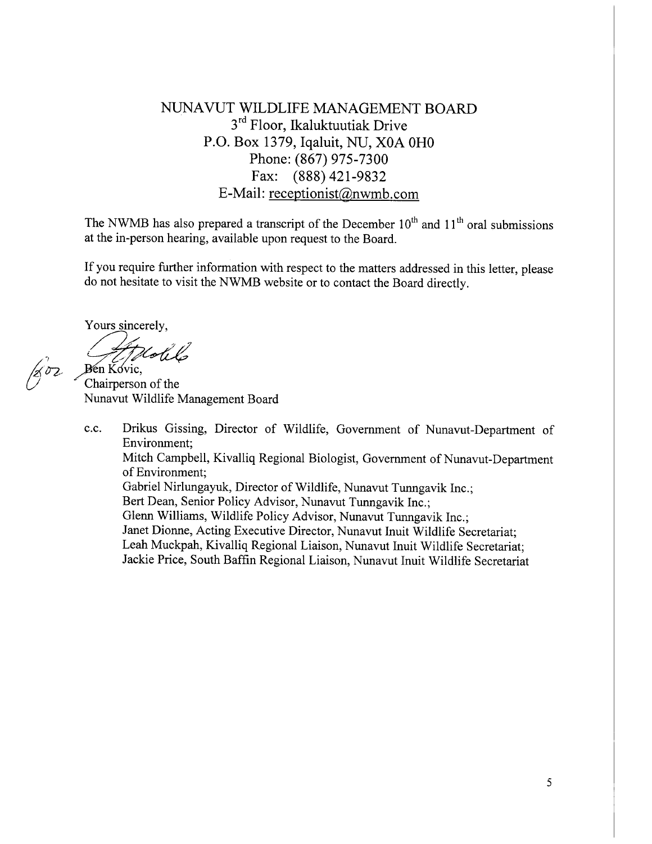## NUNAVUT WILDLIFE MANAGEMENT BOARD 3<sup>rd</sup> Floor, Ikaluktuutiak Drive P.O. Box 1379, Iqaluit, NU, X0A 0H0 Phone: (867) 975-7300 Fax: (888) 421-9832 E-Mail: receptionist@nwmb.com

The NWMB has also prepared a transcript of the December  $10^{th}$  and  $11^{th}$  oral submissions at the in-person hearing, available upon request to the Board.

If you require further information with respect to the matters addressed in this letter, please do not hesitate to visit the NWMB website or to contact the Board directly.

Yours sincerely,

1802

Hotil  $Ben Kovic$ 

Chairperson of the Nunavut Wildlife Management Board

Drikus Gissing, Director of Wildlife, Government of Nunavut-Department of c.c. Environment: Mitch Campbell, Kivalliq Regional Biologist, Government of Nunavut-Department of Environment: Gabriel Nirlungayuk, Director of Wildlife, Nunavut Tunngavik Inc.; Bert Dean, Senior Policy Advisor, Nunavut Tunngavik Inc.; Glenn Williams, Wildlife Policy Advisor, Nunavut Tunngavik Inc.: Janet Dionne, Acting Executive Director, Nunavut Inuit Wildlife Secretariat; Leah Muckpah, Kivalliq Regional Liaison, Nunavut Inuit Wildlife Secretariat; Jackie Price, South Baffin Regional Liaison, Nunavut Inuit Wildlife Secretariat